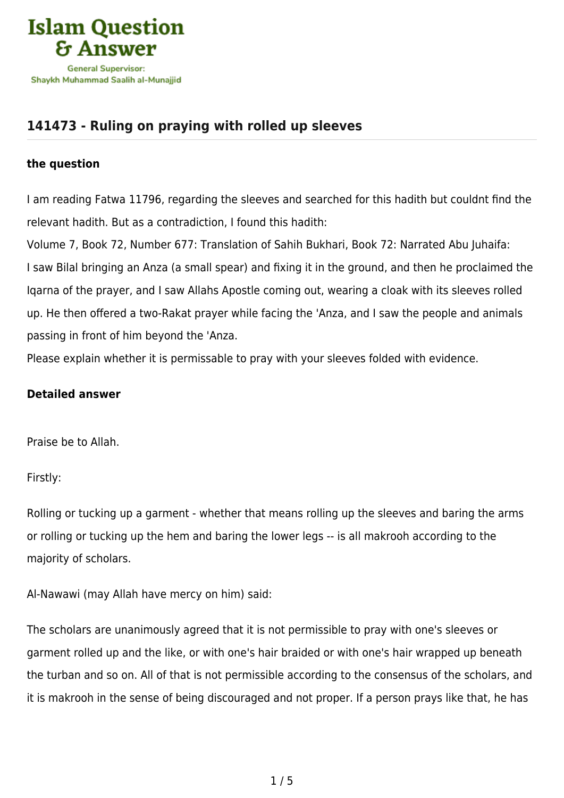

# **[141473 - Ruling on praying with rolled up sleeves](https://islamqa.com/en/answers/141473/ruling-on-praying-with-rolled-up-sleeves)**

#### **the question**

I am reading Fatwa 11796, regarding the sleeves and searched for this hadith but couldnt find the relevant hadith. But as a contradiction, I found this hadith:

Volume 7, Book 72, Number 677: Translation of Sahih Bukhari, Book 72: Narrated Abu Juhaifa: I saw Bilal bringing an Anza (a small spear) and fixing it in the ground, and then he proclaimed the Iqarna of the prayer, and I saw Allahs Apostle coming out, wearing a cloak with its sleeves rolled up. He then offered a two-Rakat prayer while facing the 'Anza, and I saw the people and animals passing in front of him beyond the 'Anza.

Please explain whether it is permissable to pray with your sleeves folded with evidence.

## **Detailed answer**

Praise be to Allah.

Firstly:

Rolling or tucking up a garment - whether that means rolling up the sleeves and baring the arms or rolling or tucking up the hem and baring the lower legs -- is all makrooh according to the majority of scholars.

Al-Nawawi (may Allah have mercy on him) said:

The scholars are unanimously agreed that it is not permissible to pray with one's sleeves or garment rolled up and the like, or with one's hair braided or with one's hair wrapped up beneath the turban and so on. All of that is not permissible according to the consensus of the scholars, and it is makrooh in the sense of being discouraged and not proper. If a person prays like that, he has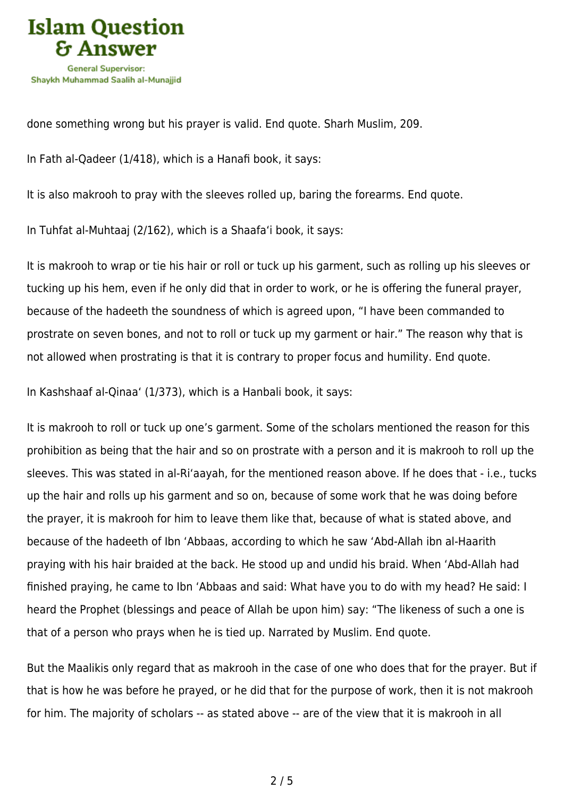

done something wrong but his prayer is valid. End quote. Sharh Muslim, 209.

In Fath al-Qadeer (1/418), which is a Hanafi book, it says:

It is also makrooh to pray with the sleeves rolled up, baring the forearms. End quote.

In Tuhfat al-Muhtaaj (2/162), which is a Shaafa'i book, it says:

It is makrooh to wrap or tie his hair or roll or tuck up his garment, such as rolling up his sleeves or tucking up his hem, even if he only did that in order to work, or he is offering the funeral prayer, because of the hadeeth the soundness of which is agreed upon, "I have been commanded to prostrate on seven bones, and not to roll or tuck up my garment or hair." The reason why that is not allowed when prostrating is that it is contrary to proper focus and humility. End quote.

In Kashshaaf al-Qinaa' (1/373), which is a Hanbali book, it says:

It is makrooh to roll or tuck up one's garment. Some of the scholars mentioned the reason for this prohibition as being that the hair and so on prostrate with a person and it is makrooh to roll up the sleeves. This was stated in al-Ri'aayah, for the mentioned reason above. If he does that - i.e., tucks up the hair and rolls up his garment and so on, because of some work that he was doing before the prayer, it is makrooh for him to leave them like that, because of what is stated above, and because of the hadeeth of Ibn 'Abbaas, according to which he saw 'Abd-Allah ibn al-Haarith praying with his hair braided at the back. He stood up and undid his braid. When 'Abd-Allah had finished praying, he came to Ibn 'Abbaas and said: What have you to do with my head? He said: I heard the Prophet (blessings and peace of Allah be upon him) say: "The likeness of such a one is that of a person who prays when he is tied up. Narrated by Muslim. End quote.

But the Maalikis only regard that as makrooh in the case of one who does that for the prayer. But if that is how he was before he prayed, or he did that for the purpose of work, then it is not makrooh for him. The majority of scholars -- as stated above -- are of the view that it is makrooh in all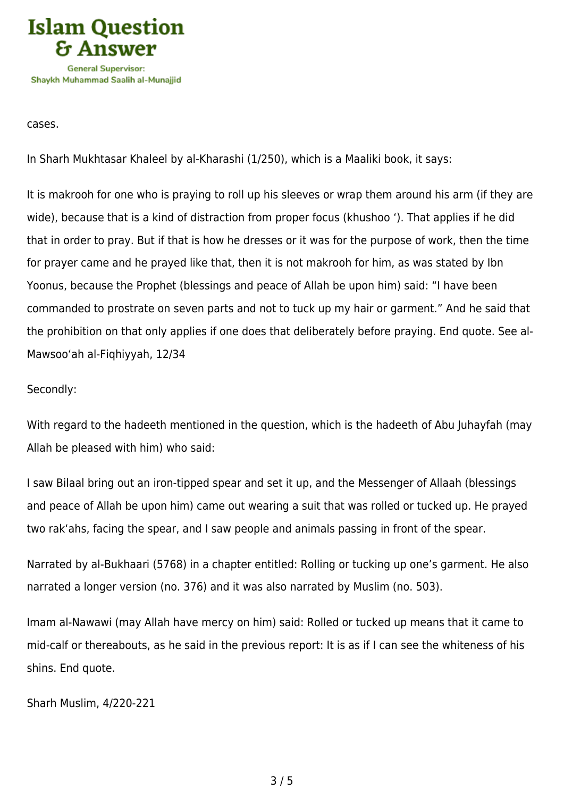

cases.

In Sharh Mukhtasar Khaleel by al-Kharashi (1/250), which is a Maaliki book, it says:

It is makrooh for one who is praying to roll up his sleeves or wrap them around his arm (if they are wide), because that is a kind of distraction from proper focus (khushoo '). That applies if he did that in order to pray. But if that is how he dresses or it was for the purpose of work, then the time for prayer came and he prayed like that, then it is not makrooh for him, as was stated by Ibn Yoonus, because the Prophet (blessings and peace of Allah be upon him) said: "I have been commanded to prostrate on seven parts and not to tuck up my hair or garment." And he said that the prohibition on that only applies if one does that deliberately before praying. End quote. See al-Mawsoo'ah al-Fiqhiyyah, 12/34

#### Secondly:

With regard to the hadeeth mentioned in the question, which is the hadeeth of Abu Juhayfah (may Allah be pleased with him) who said:

I saw Bilaal bring out an iron-tipped spear and set it up, and the Messenger of Allaah (blessings and peace of Allah be upon him) came out wearing a suit that was rolled or tucked up. He prayed two rak'ahs, facing the spear, and I saw people and animals passing in front of the spear.

Narrated by al-Bukhaari (5768) in a chapter entitled: Rolling or tucking up one's garment. He also narrated a longer version (no. 376) and it was also narrated by Muslim (no. 503).

Imam al-Nawawi (may Allah have mercy on him) said: Rolled or tucked up means that it came to mid-calf or thereabouts, as he said in the previous report: It is as if I can see the whiteness of his shins. End quote.

Sharh Muslim, 4/220-221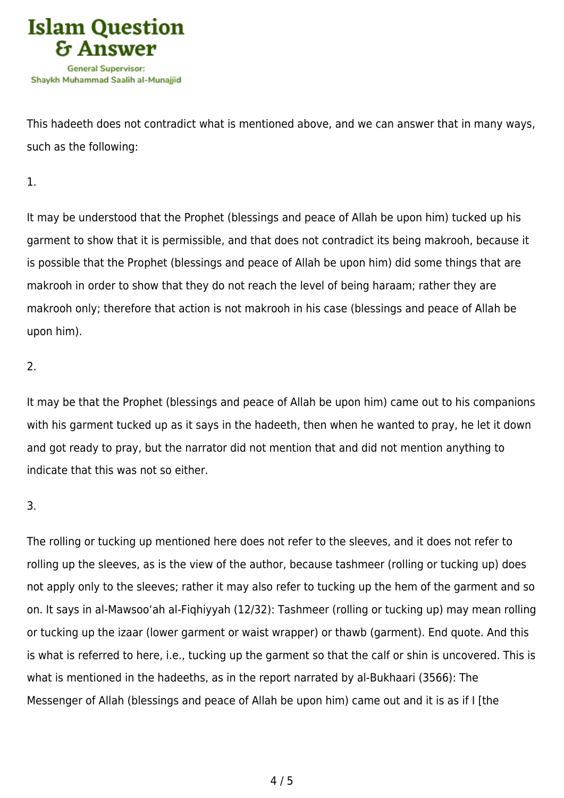

This hadeeth does not contradict what is mentioned above, and we can answer that in many ways, such as the following:

1.

It may be understood that the Prophet (blessings and peace of Allah be upon him) tucked up his garment to show that it is permissible, and that does not contradict its being makrooh, because it is possible that the Prophet (blessings and peace of Allah be upon him) did some things that are makrooh in order to show that they do not reach the level of being haraam; rather they are makrooh only; therefore that action is not makrooh in his case (blessings and peace of Allah be upon him).

### 2.

It may be that the Prophet (blessings and peace of Allah be upon him) came out to his companions with his garment tucked up as it says in the hadeeth, then when he wanted to pray, he let it down and got ready to pray, but the narrator did not mention that and did not mention anything to indicate that this was not so either.

# 3.

The rolling or tucking up mentioned here does not refer to the sleeves, and it does not refer to rolling up the sleeves, as is the view of the author, because tashmeer (rolling or tucking up) does not apply only to the sleeves; rather it may also refer to tucking up the hem of the garment and so on. It says in al-Mawsoo'ah al-Fiqhiyyah (12/32): Tashmeer (rolling or tucking up) may mean rolling or tucking up the izaar (lower garment or waist wrapper) or thawb (garment). End quote. And this is what is referred to here, i.e., tucking up the garment so that the calf or shin is uncovered. This is what is mentioned in the hadeeths, as in the report narrated by al-Bukhaari (3566): The Messenger of Allah (blessings and peace of Allah be upon him) came out and it is as if I [the